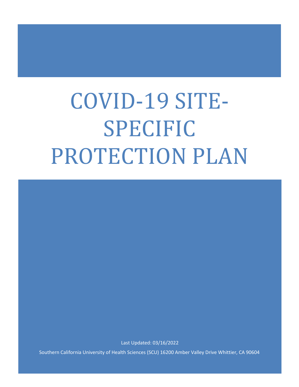# COVID-19 SITE-SPECIFIC PROTECTION PLAN

Last Updated: 03/16/2022

Southern California University of Health Sciences (SCU) 16200 Amber Valley Drive Whittier, CA 90604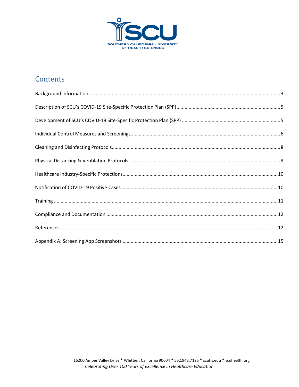

# Contents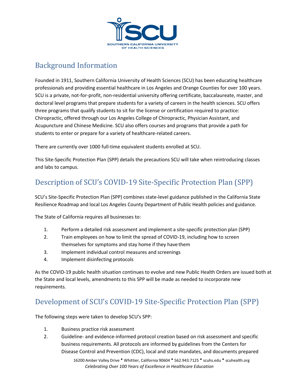

### <span id="page-2-0"></span>Background Information

Founded in 1911, Southern California University of Health Sciences (SCU) has been educating healthcare professionals and providing essential healthcare in Los Angeles and Orange Counties for over 100 years. SCU is a private, not-for-profit, non-residential university offering certificate, baccalaureate, master, and doctoral level programs that prepare students for a variety of careers in the health sciences. SCU offers three programs that qualify students to sit for the license or certification required to practice: Chiropractic, offered through our Los Angeles College of Chiropractic, Physician Assistant, and Acupuncture and Chinese Medicine. SCU also offers courses and programs that provide a path for students to enter or prepare for a variety of healthcare-related careers.

There are currently over 1000 full-time equivalent students enrolled at SCU.

This Site-Specific Protection Plan (SPP) details the precautions SCU will take when reintroducing classes and labs to campus.

# <span id="page-2-1"></span>Description of SCU's COVID-19 Site-Specific Protection Plan (SPP)

SCU's Site-Specific Protection Plan (SPP) combines state-level guidance published in the California State Resilience Roadmap and local Los Angeles County Department of Public Health policies and guidance.

The State of California requires all businesses to:

- 1. Perform a detailed risk assessment and implement a site-specific protection plan (SPP)
- 2. Train employees on how to limit the spread of COVID-19, including how to screen themselves for symptoms and stay home if they have them
- 3. Implement individual control measures and screenings
- 4. Implement disinfecting protocols

As the COVID-19 public health situation continues to evolve and new Public Health Orders are issued both at the State and local levels, amendments to this SPP will be made as needed to incorporate new requirements.

# <span id="page-2-2"></span>Development of SCU's COVID-19 Site-Specific Protection Plan (SPP)

The following steps were taken to develop SCU's SPP:

- 1. Business practice risk assessment
- 2. Guideline- and evidence-informed protocol creation based on risk assessment and specific business requirements. All protocols are informed by guidelines from the Centers for Disease Control and Prevention (CDC), local and state mandates, and documents prepared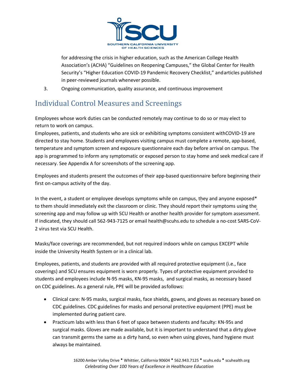

for addressing the crisis in higher education, such as the American College Health Association's (ACHA) "Guidelines on Reopening Campuses," the Global Center for Health Security's "Higher Education COVID-19 Pandemic Recovery Checklist," andarticles published in peer-reviewed journals whenever possible.

3. Ongoing communication, quality assurance, and continuous improvement

# <span id="page-3-0"></span>Individual Control Measures and Screenings

Employees whose work duties can be conducted remotely may continue to do so or may elect to return to work on campus.

Employees, patients, and students who are sick or exhibiting symptoms consistent withCOVID-19 are directed to stay home. Students and employees visiting campus must complete a remote, app-based, temperature and symptom screen and exposure questionnaire each day before arrival on campus. The app is programmed to inform any symptomatic or exposed person to stay home and seek medical care if necessary. See Appendix A for screenshots of the screening app.

Employees and students present the outcomes of their app-based questionnaire before beginning their first on-campus activity of the day.

In the event, a student or employee develops symptoms while on campus, they and anyone exposed\* to them should immediately exit the classroom or clinic. They should report their symptoms using the screening app and may follow up with SCU Health or another health provider for symptom assessment. If indicated, they should call 562-943-7125 or email health@scuhs.edu to schedule a no-cost SARS-CoV-2 virus test via SCU Health.

Masks/face coverings are recommended, but not required indoors while on campus EXCEPT while inside the University Health System or in a clinical lab.

Employees, patients, and students are provided with all required protective equipment (i.e., face coverings) and SCU ensures equipment is worn properly. Types of protective equipment provided to students and employees include N-95 masks, KN-95 masks, and surgical masks, as necessary based on CDC guidelines. As a general rule, PPE will be provided asfollows:

- Clinical care: N-95 masks, surgical masks, face shields, gowns, and gloves as necessary based on CDC guidelines. CDC guidelines for masks and personal protective equipment (PPE) must be implemented during patient care.
- Practicum labs with less than 6 feet of space between students and faculty: KN-95s and surgical masks. Gloves are made available, but it is important to understand that a dirty glove can transmit germs the same as a dirty hand, so even when using gloves, hand hygiene must always be maintained.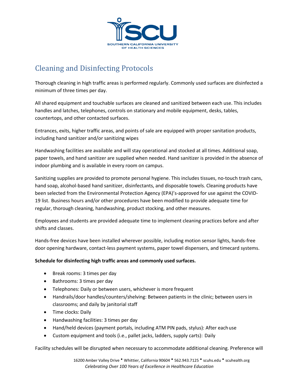

# <span id="page-4-0"></span>Cleaning and Disinfecting Protocols

Thorough cleaning in high traffic areas is performed regularly. Commonly used surfaces are disinfected a minimum of three times per day.

All shared equipment and touchable surfaces are cleaned and sanitized between each use. This includes handles and latches, telephones, controls on stationary and mobile equipment, desks, tables, countertops, and other contacted surfaces.

Entrances, exits, higher traffic areas, and points of sale are equipped with proper sanitation products, including hand sanitizer and/or sanitizing wipes

Handwashing facilities are available and will stay operational and stocked at all times. Additional soap, paper towels, and hand sanitizer are supplied when needed. Hand sanitizer is provided in the absence of indoor plumbing and is available in every room on campus.

Sanitizing supplies are provided to promote personal hygiene. This includes tissues, no-touch trash cans, hand soap, alcohol-based hand sanitizer, disinfectants, and disposable towels. Cleaning products have been selected from the Environmental Protection Agency (EPA)'s-approved for use against the COVID-19 list. Business hours and/or other procedures have been modified to provide adequate time for regular, thorough cleaning, handwashing, product stocking, and other measures.

Employees and students are provided adequate time to implement cleaning practices before and after shifts and classes.

Hands-free devices have been installed wherever possible, including motion sensor lights, hands-free door opening hardware, contact-less payment systems, paper towel dispensers, and timecard systems.

#### **Schedule for disinfecting high traffic areas and commonly used surfaces.**

- Break rooms: 3 times per day
- Bathrooms: 3 times per day
- Telephones: Daily or between users, whichever is more frequent
- Handrails/door handles/counters/shelving: Between patients in the clinic; between users in classrooms; and daily by janitorial staff
- Time clocks: Daily
- Handwashing facilities: 3 times per day
- Hand/held devices (payment portals, including ATM PIN pads, stylus): After eachuse
- Custom equipment and tools (i.e., pallet jacks, ladders, supply carts): Daily

Facility schedules will be disrupted when necessary to accommodate additional cleaning. Preference will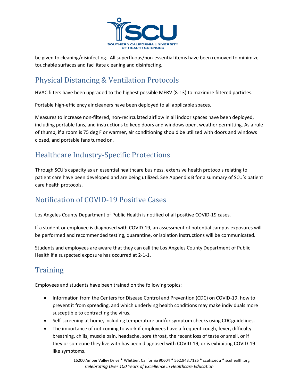

be given to cleaning/disinfecting. All superfluous/non-essential items have been removed to minimize touchable surfaces and facilitate cleaning and disinfecting.

#### <span id="page-5-0"></span>Physical Distancing & Ventilation Protocols

HVAC filters have been upgraded to the highest possible MERV (8-13) to maximize filtered particles.

Portable high-efficiency air cleaners have been deployed to all applicable spaces.

Measures to increase non-filtered, non-recirculated airflow in all indoor spaces have been deployed, including portable fans, and instructions to keep doors and windows open, weather permitting. As a rule of thumb, if a room is 75 deg F or warmer, air conditioning should be utilized with doors and windows closed, and portable fans turned on.

#### <span id="page-5-1"></span>Healthcare Industry-Specific Protections

Through SCU's capacity as an essential healthcare business, extensive health protocols relating to patient care have been developed and are being utilized. See Appendix B for a summary of SCU's patient care health protocols.

#### <span id="page-5-2"></span>Notification of COVID-19 Positive Cases

Los Angeles County Department of Public Health is notified of all positive COVID-19 cases.

If a student or employee is diagnosed with COVID-19, an assessment of potential campus exposures will be performed and recommended testing, quarantine, or isolation instructions will be communicated.

Students and employees are aware that they can call the Los Angeles County Department of Public Health if a suspected exposure has occurred at 2-1-1.

# <span id="page-5-3"></span>**Training**

Employees and students have been trained on the following topics:

- Information from the Centers for Disease Control and Prevention (CDC) on COVID-19, how to prevent it from spreading, and which underlying health conditions may make individuals more susceptible to contracting the virus.
- Self-screening at home, including temperature and/or symptom checks using CDCguidelines.
- The importance of not coming to work if employees have a frequent cough, fever, difficulty breathing, chills, muscle pain, headache, sore throat, the recent loss of taste or smell, or if they or someone they live with has been diagnosed with COVID-19, or is exhibiting COVID-19 like symptoms.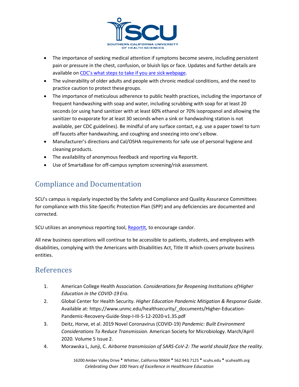

- The importance of seeking medical attention if symptoms become severe, including persistent pain or pressure in the chest, confusion, or bluish lips or face. Updates and further details are available on [CDC's what steps to take if you are sick](https://www.cdc.gov/coronavirus/2019-ncov/if-you-are-sick/steps-when-sick.html)webpage.
- The vulnerability of older adults and people with chronic medical conditions, and the need to practice caution to protect these groups.
- The importance of meticulous adherence to public health practices, including the importance of frequent handwashing with soap and water, including scrubbing with soap for at least 20 seconds (or using hand sanitizer with at least 60% ethanol or 70% isopropanol and allowing the sanitizer to evaporate for at least 30 seconds when a sink or handwashing station is not available, per CDC guidelines). Be mindful of any surface contact, e.g. use a paper towel to turn off faucets after handwashing, and coughing and sneezing into one's elbow.
- Manufacturer's directions and Cal/OSHA requirements for safe use of personal hygiene and cleaning products.
- The availability of anonymous feedback and reporting via ReportIt.
- Use of SmartaBase for off-campus symptom screening/risk assessment.

### <span id="page-6-0"></span>Compliance and Documentation

SCU's campus is regularly inspected by the Safety and Compliance and Quality Assurance Committees for compliance with this Site-Specific Protection Plan (SPP) and any deficiencies are documented and corrected.

SCU utilizes an anonymous reporting tool, [ReportIt,](https://my.scuhs.edu/ICS/Departments/Campus_Safety/Report_It.jnz) to encourage candor.

All new business operations will continue to be accessible to patients, students, and employees with disabilities, complying with the Americans with Disabilities Act, Title III which covers private business entities.

#### <span id="page-6-1"></span>References

- 1. American College Health Association. *Considerations for Reopening Institutions ofHigher Education in the COVID-19 Era*.
- 2. Global Center for Health Security. *Higher Education Pandemic Mitigation & Response Guide*. Available at: https:/[/www.unmc.edu/healthsecurity/\\_documents/Higher-Education-](http://www.unmc.edu/healthsecurity/_documents/Higher-Education-)Pandemic-Recovery-Guide-Step-I-III-5-12-2020-v1.35.pdf
- 3. Deitz, Horve, et al. 2019 Novel Coronavirus (COVID-19) *Pandemic: Built Environment Considerations To Reduce Transmission.* American Society for Microbiology. March/April 2020. Volume 5 Issue 2.
- 4. Morawska L, Junji, C. *Airborne transmission of SARS-CoV-2: The world should face the reality*.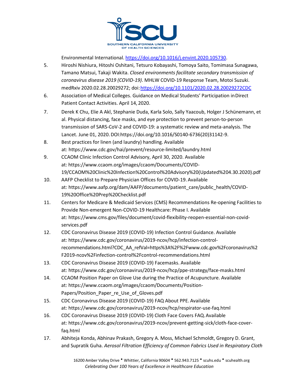

Environmental International. [https://doi.org/10.1016/j.envint.2020.105730.](https://doi.org/10.1016/j.envint.2020.105730)

- 5. Hiroshi Nishiura, Hitoshi Oshitani, Tetsuro Kobayashi, Tomoya Saito, Tomimasa Sunagawa, Tamano Matsui, Takaji Wakita. *Closed environments facilitate secondary transmission of coronavirus disease 2019 (COVID-19)*. MHLW COVID-19 Response Team, Motoi Suzuki. medRxiv 2020.02.28.20029272; doi[:https://doi.org/10.1101/2020.02.28.20029272CDC](https://doi.org/10.1101/2020.02.28.20029272CDC)
- 6. Association of Medical Colleges. Guidance on Medical Students' Participation inDirect Patient Contact Activities. April 14, 2020.
- 7. Derek K Chu, Elie A Akl, Stephanie Duda, Karla Solo, Sally Yaacoub, Holger J Schünemann, et al. Physical distancing, face masks, and eye protection to prevent person-to-person transmission of SARS-CoV-2 and COVID-19: a systematic review and meta-analysis. The Lancet. June 01, 2020.DOI:https://doi.org/10.1016/S0140-6736(20)31142-9.
- 8. Best practices for linen (and laundry) handling. Available at:<https://www.cdc.gov/hai/prevent/resource-limited/laundry.html>
- 9. CCAOM Clinic Infection Control Advisory, April 30, 2020. Available at: [https://www.ccaom.org/images/ccaom/Documents/COVID-](https://www.ccaom.org/images/ccaom/Documents/COVID-19/CCAOM%20Clinic%20Infection%20Control%20Advisory%20(Updated%204.30.2020).pdf)[19/CCAOM%20Clinic%20Infection%20Control%20Advisory%20\(Updated%204.30.2020\).pdf](https://www.ccaom.org/images/ccaom/Documents/COVID-19/CCAOM%20Clinic%20Infection%20Control%20Advisory%20(Updated%204.30.2020).pdf)
- 10. AAFP Checklist to Prepare Physician Offices for COVID-19.Available at: [https://www.aafp.org/dam/AAFP/documents/patient\\_care/public\\_health/COVID-](https://www.aafp.org/dam/AAFP/documents/patient_care/public_health/COVID-19%20Office%20Prep%20Checklist.pdf)[19%20Office%20Prep%20Checklist.pdf](https://www.aafp.org/dam/AAFP/documents/patient_care/public_health/COVID-19%20Office%20Prep%20Checklist.pdf)
- 11. Centers for Medicare & Medicaid Services (CMS) Recommendations Re-opening Facilities to Provide Non-emergent Non-COVID-19 Healthcare: Phase I. Available at: [https://www.cms.gov/files/document/covid-flexibility-reopen-essential-non-covid](https://www.cms.gov/files/document/covid-flexibility-reopen-essential-non-covid-services.pdf)[services.pdf](https://www.cms.gov/files/document/covid-flexibility-reopen-essential-non-covid-services.pdf)
- 12. CDC Coronavirus Disease 2019 (COVID-19) Infection Control Guidance. Available at: [https://www.cdc.gov/coronavirus/2019-ncov/hcp/infection-control](https://www.cdc.gov/coronavirus/2019-ncov/hcp/infection-control-recommendations.html?CDC_AA_refVal=https%3A%2F%2Fwww.cdc.gov%2Fcoronavirus%2F2019-ncov%2Finfection-control%2Fcontrol-recommendations.html)[recommendations.html?CDC\\_AA\\_refVal=https%3A%2F%2Fwww.cdc.gov%2Fcoronavirus%2](https://www.cdc.gov/coronavirus/2019-ncov/hcp/infection-control-recommendations.html?CDC_AA_refVal=https%3A%2F%2Fwww.cdc.gov%2Fcoronavirus%2F2019-ncov%2Finfection-control%2Fcontrol-recommendations.html) [F2019-ncov%2Finfection-control%2Fcontrol-recommendations.html](https://www.cdc.gov/coronavirus/2019-ncov/hcp/infection-control-recommendations.html?CDC_AA_refVal=https%3A%2F%2Fwww.cdc.gov%2Fcoronavirus%2F2019-ncov%2Finfection-control%2Fcontrol-recommendations.html)
- 13. CDC Coronavirus Disease 2019 (COVID-19) Facemasks. Available at:<https://www.cdc.gov/coronavirus/2019-ncov/hcp/ppe-strategy/face-masks.html>
- 14. CCAOM Position Paper on Glove Use during the Practice of Acupuncture. Available at: [https://www.ccaom.org/images/ccaom/Documents/Position-](https://www.ccaom.org/images/ccaom/Documents/Position-Papers/Position_Paper_re_Use_of_Gloves.pdf)[Papers/Position\\_Paper\\_re\\_Use\\_of\\_Gloves.pdf](https://www.ccaom.org/images/ccaom/Documents/Position-Papers/Position_Paper_re_Use_of_Gloves.pdf)
- 15. CDC Coronavirus Disease 2019 (COVID-19) FAQ About PPE. Available at:<https://www.cdc.gov/coronavirus/2019-ncov/hcp/respirator-use-faq.html>
- 16. CDC Coronavirus Disease 2019 (COVID-19) Cloth Face Covers FAQ.Available at: [https://www.cdc.gov/coronavirus/2019-ncov/prevent-getting-sick/cloth-face-cover](https://www.cdc.gov/coronavirus/2019-ncov/prevent-getting-sick/cloth-face-cover-faq.html)[faq.html](https://www.cdc.gov/coronavirus/2019-ncov/prevent-getting-sick/cloth-face-cover-faq.html)
- 17. Abhiteja Konda, Abhinav Prakash, Gregory A. Moss, Michael Schmoldt, Gregory D. Grant, and Supratik Guha. *Aerosol Filtration Efficiency of Common Fabrics Used in Respiratory Cloth*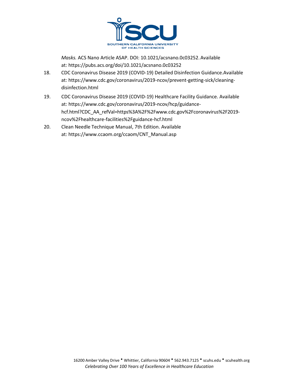

*Masks.* ACS Nano Article ASAP. DOI: 10.1021/acsnano.0c03252.Available at:<https://pubs.acs.org/doi/10.1021/acsnano.0c03252>

- 18. CDC Coronavirus Disease 2019 (COVID-19) Detailed Disinfection Guidance.Available at: [https://www.cdc.gov/coronavirus/2019-ncov/prevent-getting-sick/cleaning](https://www.cdc.gov/coronavirus/2019-ncov/prevent-getting-sick/cleaning-disinfection.html)[disinfection.html](https://www.cdc.gov/coronavirus/2019-ncov/prevent-getting-sick/cleaning-disinfection.html)
- 19. CDC Coronavirus Disease 2019 (COVID-19) Healthcare Facility Guidance. Available at: [https://www.cdc.gov/coronavirus/2019-ncov/hcp/guidance](https://www.cdc.gov/coronavirus/2019-ncov/hcp/guidance-hcf.html?CDC_AA_refVal=https%3A%2F%2Fwww.cdc.gov%2Fcoronavirus%2F2019-ncov%2Fhealthcare-facilities%2Fguidance-hcf.html)[hcf.html?CDC\\_AA\\_refVal=https%3A%2F%2Fwww.cdc.gov%2Fcoronavirus%2F2019](https://www.cdc.gov/coronavirus/2019-ncov/hcp/guidance-hcf.html?CDC_AA_refVal=https%3A%2F%2Fwww.cdc.gov%2Fcoronavirus%2F2019-ncov%2Fhealthcare-facilities%2Fguidance-hcf.html) [ncov%2Fhealthcare-facilities%2Fguidance-hcf.html](https://www.cdc.gov/coronavirus/2019-ncov/hcp/guidance-hcf.html?CDC_AA_refVal=https%3A%2F%2Fwww.cdc.gov%2Fcoronavirus%2F2019-ncov%2Fhealthcare-facilities%2Fguidance-hcf.html)
- 20. Clean Needle Technique Manual, 7th Edition. Available at: [https://www.ccaom.org/ccaom/CNT\\_Manual.asp](https://www.ccaom.org/ccaom/CNT_Manual.asp)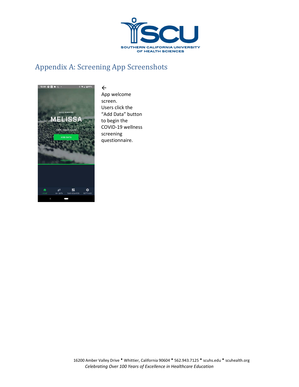

# <span id="page-9-0"></span>Appendix A: Screening App Screenshots



 $\leftarrow$ App welcome screen. Users click the "Add Data" button to begin the COVID-19 wellness screening questionnaire.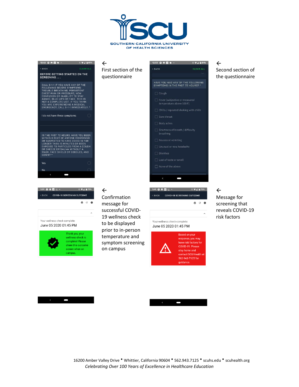



Second section of





 $\Box$